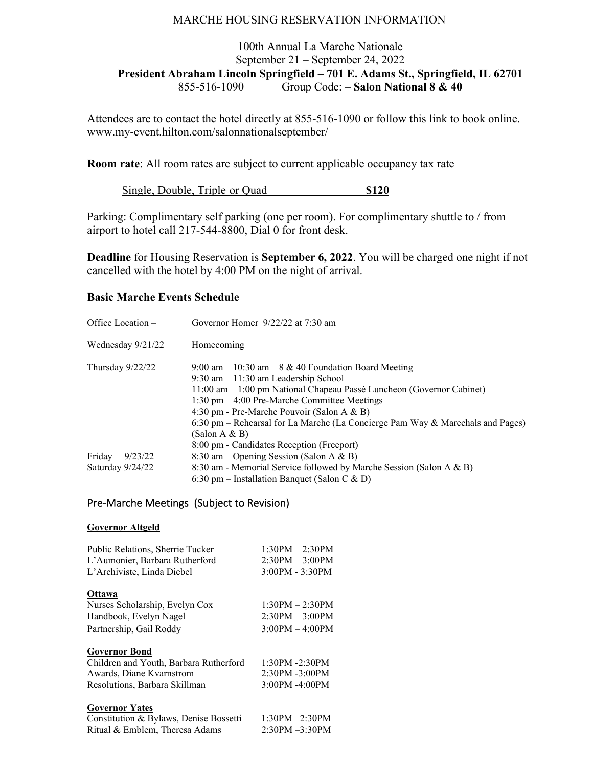## MARCHE HOUSING RESERVATION INFORMATION

# 100th Annual La Marche Nationale September 21 – September 24, 2022 **President Abraham Lincoln Springfield – 701 E. Adams St., Springfield, IL 62701** 855-516-1090 Group Code: – **Salon National 8 & 40**

Attendees are to contact the hotel directly at 855-516-1090 or follow this link to book online. www.my-event.hilton.com/salonnationalseptember/

**Room rate:** All room rates are subject to current applicable occupancy tax rate

Single, Double, Triple or Quad **\$120** 

Parking: Complimentary self parking (one per room). For complimentary shuttle to / from airport to hotel call 217-544-8800, Dial 0 for front desk.

**Deadline** for Housing Reservation is **September 6, 2022**. You will be charged one night if not cancelled with the hotel by 4:00 PM on the night of arrival.

### **Basic Marche Events Schedule**

| Office Location $-$ |                   | Governor Homer 9/22/22 at 7:30 am                                                                                                                                                                                                                                                                                                                                                                                           |
|---------------------|-------------------|-----------------------------------------------------------------------------------------------------------------------------------------------------------------------------------------------------------------------------------------------------------------------------------------------------------------------------------------------------------------------------------------------------------------------------|
|                     | Wednesday 9/21/22 | Homecoming                                                                                                                                                                                                                                                                                                                                                                                                                  |
| Thursday $9/22/22$  |                   | 9:00 am $-10:30$ am $-8 & 40$ Foundation Board Meeting<br>$9:30$ am $-11:30$ am Leadership School<br>11:00 am – 1:00 pm National Chapeau Passé Luncheon (Governor Cabinet)<br>$1:30$ pm $-4:00$ Pre-Marche Committee Meetings<br>4:30 pm - Pre-Marche Pouvoir (Salon A & B)<br>6:30 pm – Rehearsal for La Marche (La Concierge Pam Way & Marechals and Pages)<br>(Salon A & B)<br>8:00 pm - Candidates Reception (Freeport) |
| Friday              | 9/23/22           | 8:30 am – Opening Session (Salon A & B)                                                                                                                                                                                                                                                                                                                                                                                     |
| Saturday 9/24/22    |                   | 8:30 am - Memorial Service followed by Marche Session (Salon A & B)<br>6:30 pm – Installation Banquet (Salon C & D)                                                                                                                                                                                                                                                                                                         |

## Pre‐Marche Meetings (Subject to Revision)

#### **Governor Altgeld**

| Public Relations, Sherrie Tucker<br>L'Aumonier, Barbara Rutherford<br>L'Archiviste, Linda Diebel | $1:30PM - 2:30PM$<br>$2:30PM - 3:00PM$<br>$3:00PM - 3:30PM$ |
|--------------------------------------------------------------------------------------------------|-------------------------------------------------------------|
| <b>Ottawa</b>                                                                                    |                                                             |
| Nurses Scholarship, Evelyn Cox                                                                   | $1:30PM - 2:30PM$                                           |
| Handbook, Evelyn Nagel                                                                           | $2:30PM - 3:00PM$                                           |
| Partnership, Gail Roddy                                                                          | $3:00PM - 4:00PM$                                           |
| <b>Governor Bond</b>                                                                             |                                                             |
| Children and Youth, Barbara Rutherford                                                           | $1:30PM - 2:30PM$                                           |
| Awards, Diane Kvarnstrom                                                                         | 2:30PM -3:00PM                                              |
| Resolutions, Barbara Skillman                                                                    | 3:00PM -4:00PM                                              |
| <b>Governor Yates</b>                                                                            |                                                             |
| Constitution & Bylaws, Denise Bossetti                                                           | $1:30PM - 2:30PM$                                           |
| Ritual & Emblem, Theresa Adams                                                                   | $2:30PM - 3:30PM$                                           |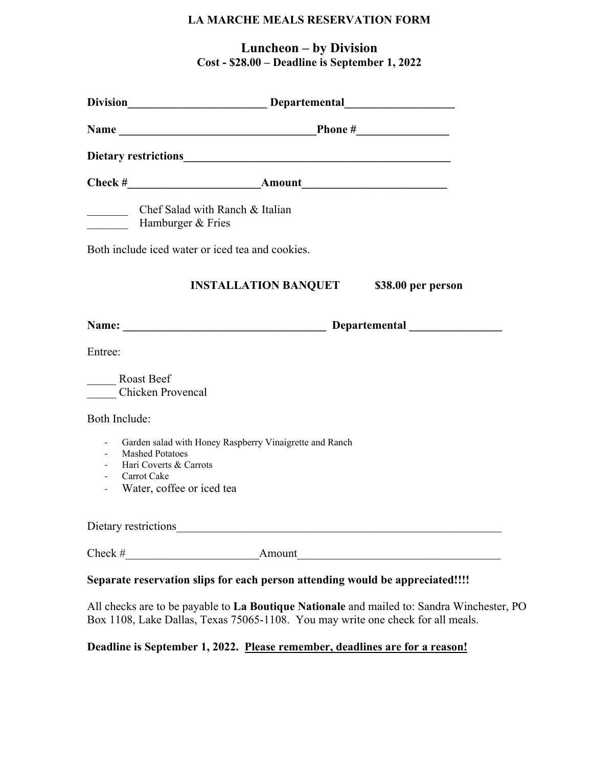# **LA MARCHE MEALS RESERVATION FORM**

**Luncheon – by Division Cost - \$28.00 – Deadline is September 1, 2022** 

|                                                                                                                                   | $Check # \tAmount$                                               |  |  |
|-----------------------------------------------------------------------------------------------------------------------------------|------------------------------------------------------------------|--|--|
| Hamburger & Fries                                                                                                                 | Chef Salad with Ranch & Italian                                  |  |  |
| Both include iced water or iced tea and cookies.                                                                                  |                                                                  |  |  |
|                                                                                                                                   | <b>INSTALLATION BANQUET</b> \$38.00 per person                   |  |  |
|                                                                                                                                   |                                                                  |  |  |
| Entree:                                                                                                                           |                                                                  |  |  |
| Roast Beef<br><b>Chicken Provencal</b>                                                                                            |                                                                  |  |  |
| Both Include:                                                                                                                     |                                                                  |  |  |
| <b>Mashed Potatoes</b><br>$\omega_{\rm{max}}$<br>Hari Coverts & Carrots<br>$\sim 100$<br>Carrot Cake<br>Water, coffee or iced tea | Garden salad with Honey Raspberry Vinaigrette and Ranch          |  |  |
|                                                                                                                                   |                                                                  |  |  |
|                                                                                                                                   | $Check # _______ A mount _______ A mount _______ A menu then I.$ |  |  |

All checks are to be payable to **La Boutique Nationale** and mailed to: Sandra Winchester, PO Box 1108, Lake Dallas, Texas 75065-1108. You may write one check for all meals.

# **Deadline is September 1, 2022. Please remember, deadlines are for a reason!**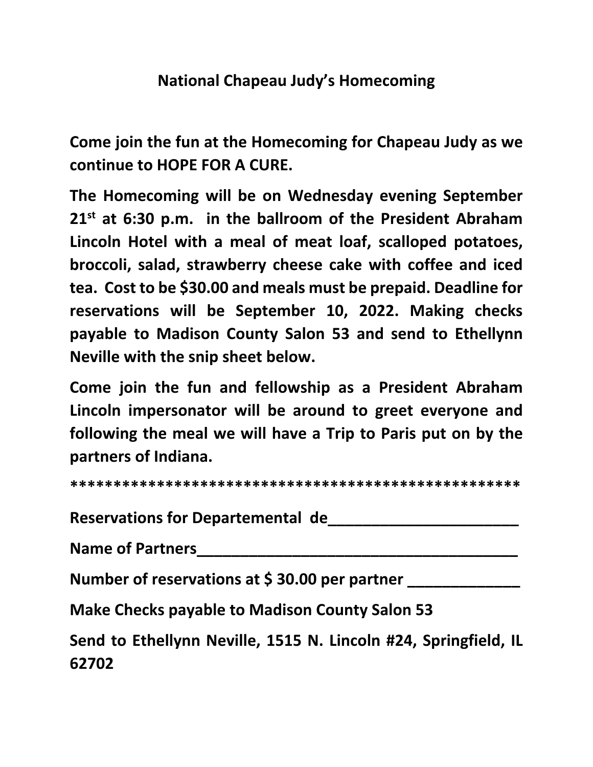# **National Chapeau Judy's Homecoming**

**Come join the fun at the Homecoming for Chapeau Judy as we continue to HOPE FOR A CURE.** 

**The Homecoming will be on Wednesday evening September 21st at 6:30 p.m. in the ballroom of the President Abraham Lincoln Hotel with a meal of meat loaf, scalloped potatoes, broccoli, salad, strawberry cheese cake with coffee and iced tea. Cost to be \$30.00 and meals must be prepaid. Deadline for reservations will be September 10, 2022. Making checks payable to Madison County Salon 53 and send to Ethellynn Neville with the snip sheet below.** 

**Come join the fun and fellowship as a President Abraham Lincoln impersonator will be around to greet everyone and following the meal we will have a Trip to Paris put on by the partners of Indiana.** 

**\*\*\*\*\*\*\*\*\*\*\*\*\*\*\*\*\*\*\*\*\*\*\*\*\*\*\*\*\*\*\*\*\*\*\*\*\*\*\*\*\*\*\*\*\*\*\*\*\*\*\*\*** 

Reservations for Departemental de

**Name of Partners\_\_\_\_\_\_\_\_\_\_\_\_\_\_\_\_\_\_\_\_\_\_\_\_\_\_\_\_\_\_\_\_\_\_\_\_\_** 

Number of reservations at \$30.00 per partner

**Make Checks payable to Madison County Salon 53** 

**Send to Ethellynn Neville, 1515 N. Lincoln #24, Springfield, IL 62702**